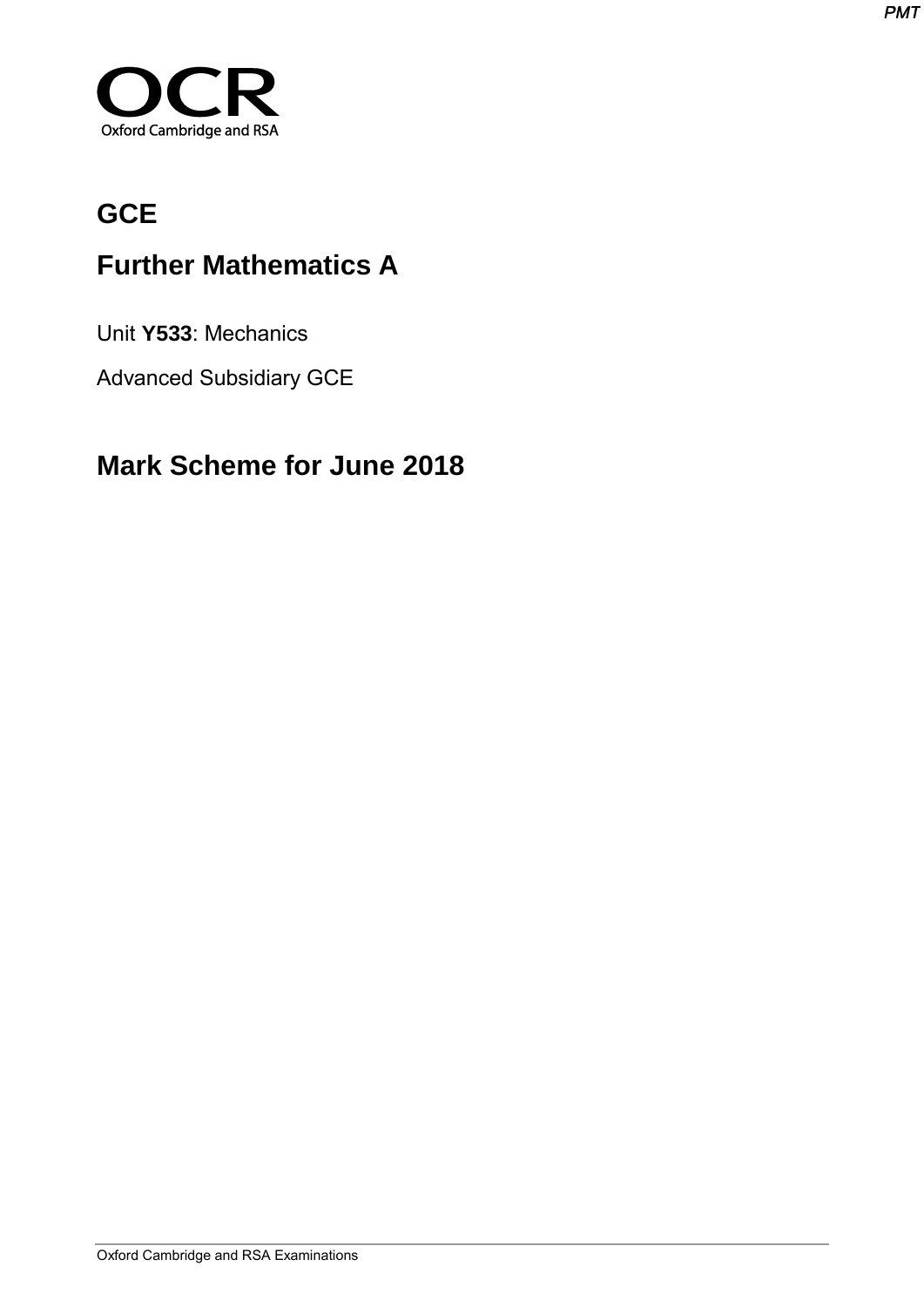

# **GCE**

# **Further Mathematics A**

Unit **Y533**: Mechanics

Advanced Subsidiary GCE

## **Mark Scheme for June 2018**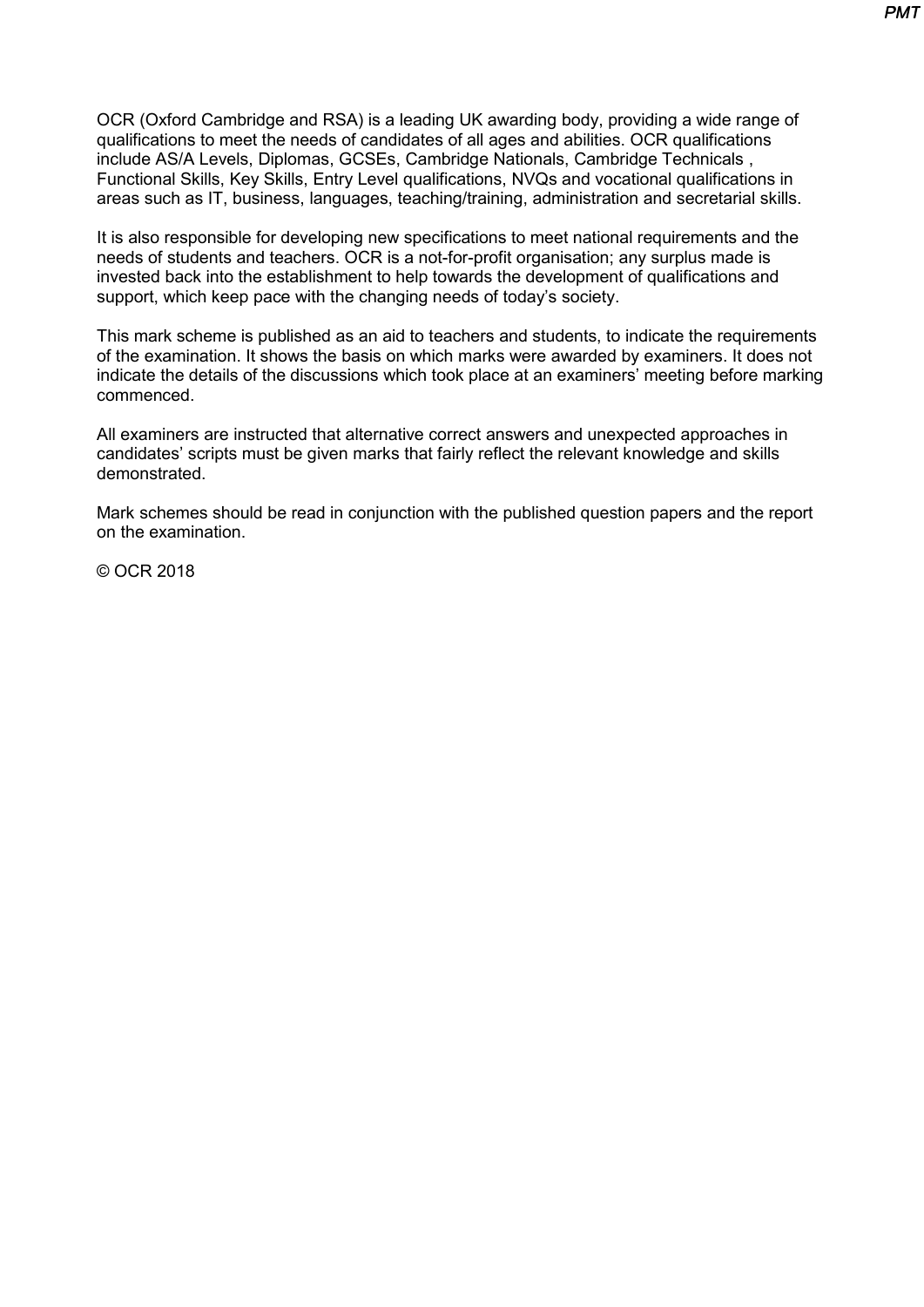OCR (Oxford Cambridge and RSA) is a leading UK awarding body, providing a wide range of qualifications to meet the needs of candidates of all ages and abilities. OCR qualifications include AS/A Levels, Diplomas, GCSEs, Cambridge Nationals, Cambridge Technicals , Functional Skills, Key Skills, Entry Level qualifications, NVQs and vocational qualifications in areas such as IT, business, languages, teaching/training, administration and secretarial skills.

It is also responsible for developing new specifications to meet national requirements and the needs of students and teachers. OCR is a not-for-profit organisation; any surplus made is invested back into the establishment to help towards the development of qualifications and support, which keep pace with the changing needs of today's society.

This mark scheme is published as an aid to teachers and students, to indicate the requirements of the examination. It shows the basis on which marks were awarded by examiners. It does not indicate the details of the discussions which took place at an examiners' meeting before marking commenced.

All examiners are instructed that alternative correct answers and unexpected approaches in candidates' scripts must be given marks that fairly reflect the relevant knowledge and skills demonstrated.

Mark schemes should be read in conjunction with the published question papers and the report on the examination.

© OCR 2018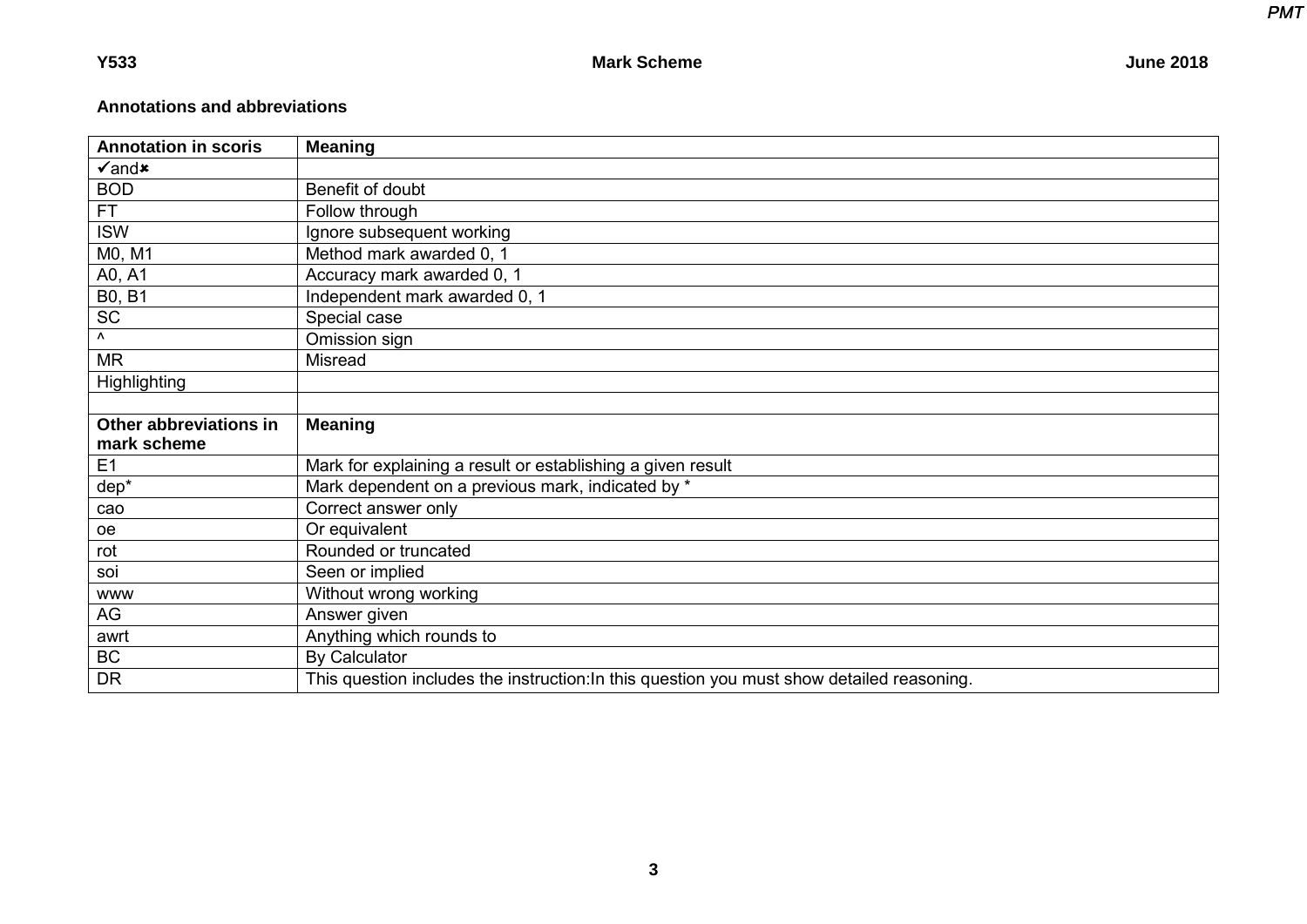*PMT PMT*

### **Annotations and abbreviations**

| <b>Annotation in scoris</b> | <b>Meaning</b>                                              |
|-----------------------------|-------------------------------------------------------------|
| $\sqrt{2}$ and $\times$     |                                                             |
| <b>BOD</b>                  | Benefit of doubt                                            |
| <b>FT</b>                   | Follow through                                              |
| <b>ISW</b>                  | Ignore subsequent working                                   |
| M0, M1                      | Method mark awarded 0, 1                                    |
| A0, A1                      | Accuracy mark awarded 0, 1                                  |
| <b>B0, B1</b>               | Independent mark awarded 0, 1                               |
| <b>SC</b>                   | Special case                                                |
| Λ.                          | Omission sign                                               |
| <b>MR</b>                   | <b>Misread</b>                                              |
| <b>Highlighting</b>         |                                                             |
|                             |                                                             |
| Other abbreviations in      | <b>Meaning</b>                                              |
|                             |                                                             |
| mark scheme                 |                                                             |
| E1                          | Mark for explaining a result or establishing a given result |
| dep*                        | Mark dependent on a previous mark, indicated by *           |
| cao                         | Correct answer only                                         |
| oe                          | Or equivalent                                               |
| rot                         | Rounded or truncated                                        |
| soi                         | Seen or implied                                             |
| <b>WWW</b>                  | Without wrong working                                       |
| AG                          | Answer given                                                |
| awrt                        | Anything which rounds to                                    |
| <b>BC</b>                   | <b>By Calculator</b>                                        |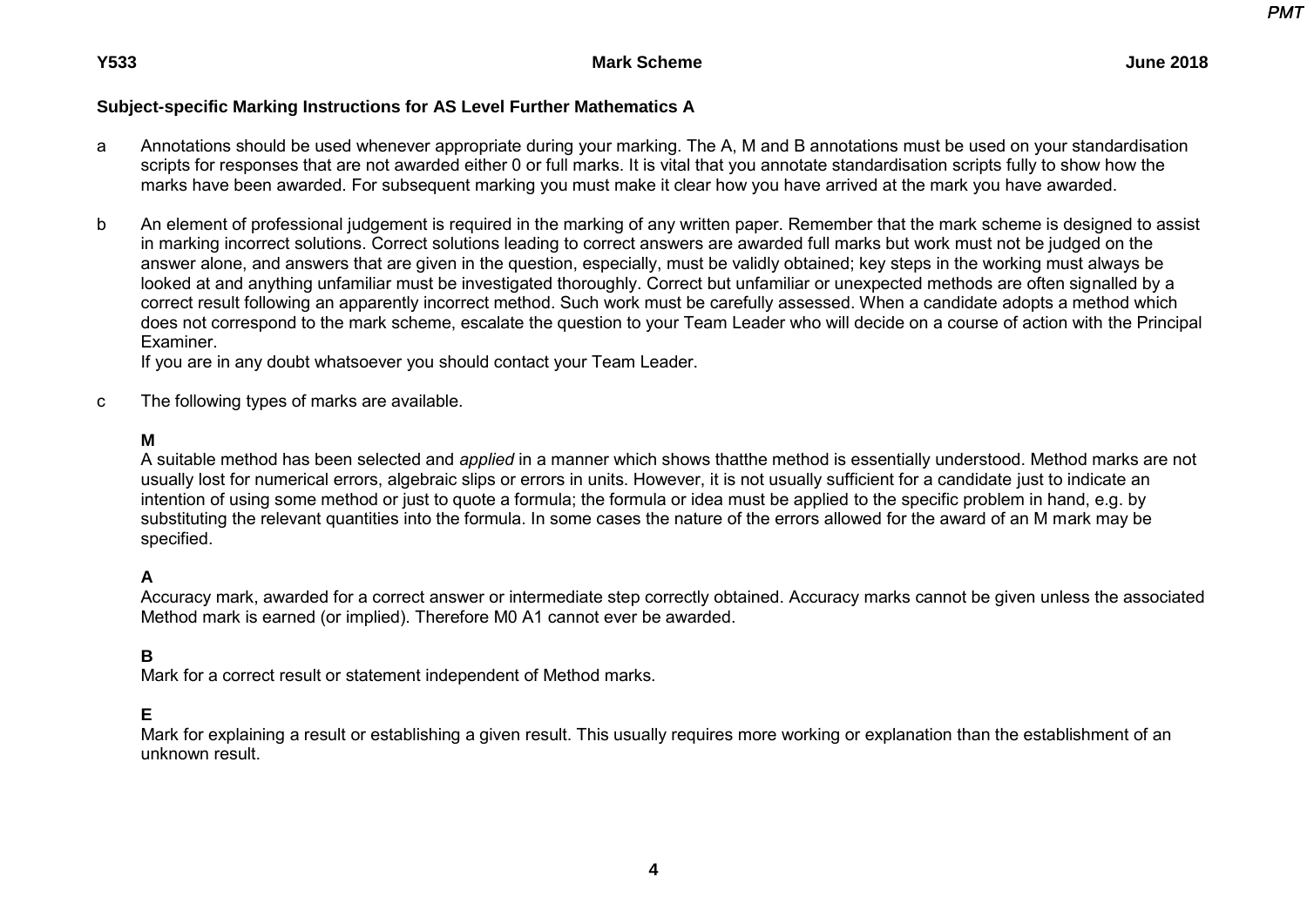### **Subject-specific Marking Instructions for AS Level Further Mathematics A**

- a Annotations should be used whenever appropriate during your marking. The A, M and B annotations must be used on your standardisation scripts for responses that are not awarded either 0 or full marks. It is vital that you annotate standardisation scripts fully to show how the marks have been awarded. For subsequent marking you must make it clear how you have arrived at the mark you have awarded.
- b An element of professional judgement is required in the marking of any written paper. Remember that the mark scheme is designed to assist in marking incorrect solutions. Correct solutions leading to correct answers are awarded full marks but work must not be judged on the answer alone, and answers that are given in the question, especially, must be validly obtained; key steps in the working must always be looked at and anything unfamiliar must be investigated thoroughly. Correct but unfamiliar or unexpected methods are often signalled by a correct result following an apparently incorrect method. Such work must be carefully assessed. When a candidate adopts a method which does not correspond to the mark scheme, escalate the question to your Team Leader who will decide on a course of action with the Principal Examiner.

If you are in any doubt whatsoever you should contact your Team Leader.

c The following types of marks are available.

#### **M**

 A suitable method has been selected and *applied* in a manner which shows thatthe method is essentially understood. Method marks are not usually lost for numerical errors, algebraic slips or errors in units. However, it is not usually sufficient for a candidate just to indicate an intention of using some method or just to quote a formula; the formula or idea must be applied to the specific problem in hand, e.g. by substituting the relevant quantities into the formula. In some cases the nature of the errors allowed for the award of an M mark may be specified.

### **A**

 Accuracy mark, awarded for a correct answer or intermediate step correctly obtained. Accuracy marks cannot be given unless the associated Method mark is earned (or implied). Therefore M0 A1 cannot ever be awarded.

#### **B**

Mark for a correct result or statement independent of Method marks.

#### **E**

 Mark for explaining a result or establishing a given result. This usually requires more working or explanation than the establishment of an unknown result.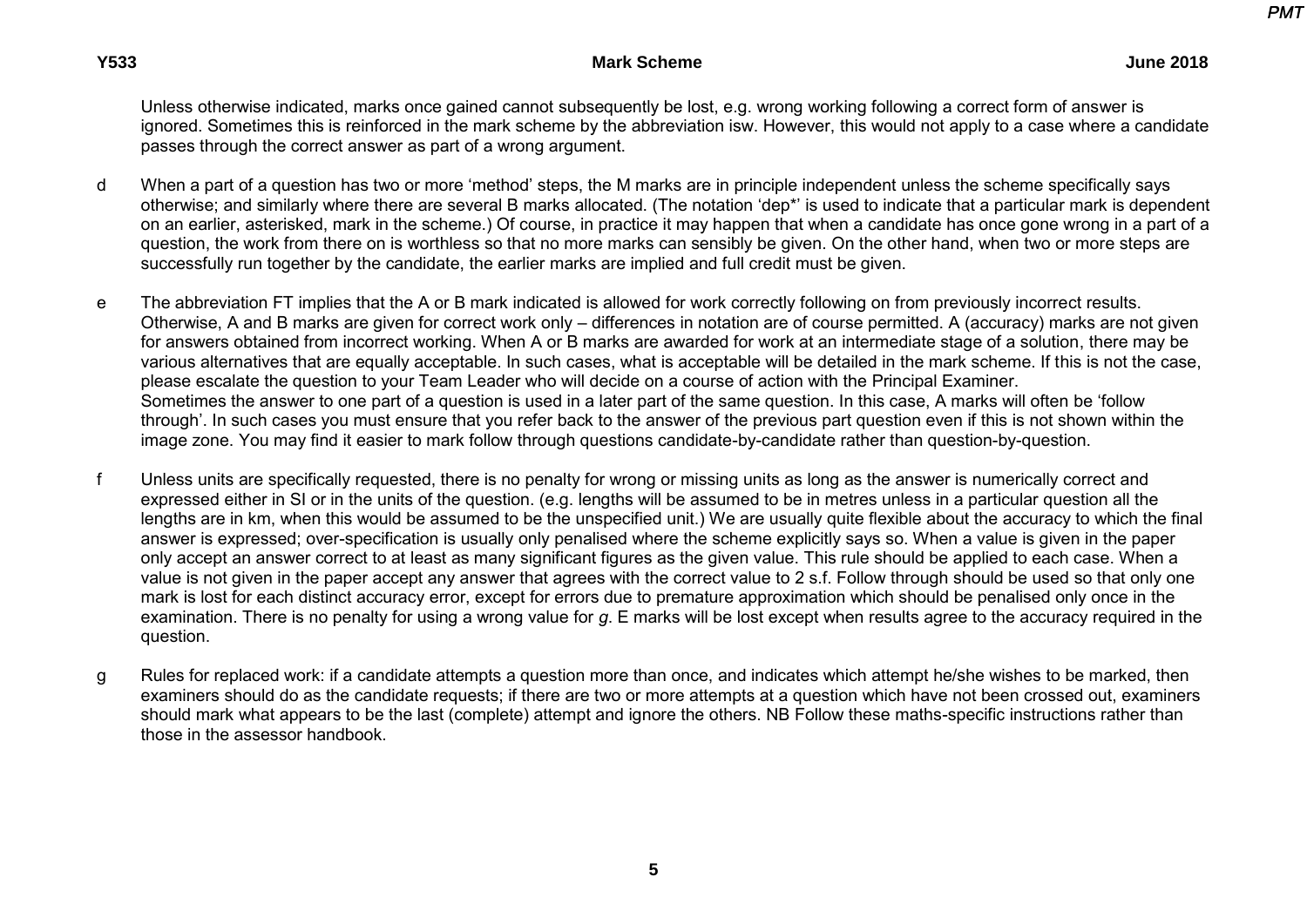Unless otherwise indicated, marks once gained cannot subsequently be lost, e.g. wrong working following a correct form of answer is ignored. Sometimes this is reinforced in the mark scheme by the abbreviation isw. However, this would not apply to a case where a candidate passes through the correct answer as part of a wrong argument.

- d When a part of a question has two or more 'method' steps, the M marks are in principle independent unless the scheme specifically says otherwise; and similarly where there are several B marks allocated. (The notation 'dep\*' is used to indicate that a particular mark is dependent on an earlier, asterisked, mark in the scheme.) Of course, in practice it may happen that when a candidate has once gone wrong in a part of a question, the work from there on is worthless so that no more marks can sensibly be given. On the other hand, when two or more steps are successfully run together by the candidate, the earlier marks are implied and full credit must be given.
- e The abbreviation FT implies that the A or B mark indicated is allowed for work correctly following on from previously incorrect results. Otherwise, A and B marks are given for correct work only – differences in notation are of course permitted. A (accuracy) marks are not given for answers obtained from incorrect working. When A or B marks are awarded for work at an intermediate stage of a solution, there may be various alternatives that are equally acceptable. In such cases, what is acceptable will be detailed in the mark scheme. If this is not the case, please escalate the question to your Team Leader who will decide on a course of action with the Principal Examiner. Sometimes the answer to one part of a question is used in a later part of the same question. In this case, A marks will often be 'follow through'. In such cases you must ensure that you refer back to the answer of the previous part question even if this is not shown within the image zone. You may find it easier to mark follow through questions candidate-by-candidate rather than question-by-question.
- f Unless units are specifically requested, there is no penalty for wrong or missing units as long as the answer is numerically correct and expressed either in SI or in the units of the question. (e.g. lengths will be assumed to be in metres unless in a particular question all the lengths are in km, when this would be assumed to be the unspecified unit.) We are usually quite flexible about the accuracy to which the final answer is expressed; over-specification is usually only penalised where the scheme explicitly says so. When a value is given in the paper only accept an answer correct to at least as many significant figures as the given value. This rule should be applied to each case. When a value is not given in the paper accept any answer that agrees with the correct value to 2 s.f. Follow through should be used so that only one mark is lost for each distinct accuracy error, except for errors due to premature approximation which should be penalised only once in the examination. There is no penalty for using a wrong value for *g*. E marks will be lost except when results agree to the accuracy required in the question.
- g Rules for replaced work: if a candidate attempts a question more than once, and indicates which attempt he/she wishes to be marked, then examiners should do as the candidate requests; if there are two or more attempts at a question which have not been crossed out, examiners should mark what appears to be the last (complete) attempt and ignore the others. NB Follow these maths-specific instructions rather than those in the assessor handbook.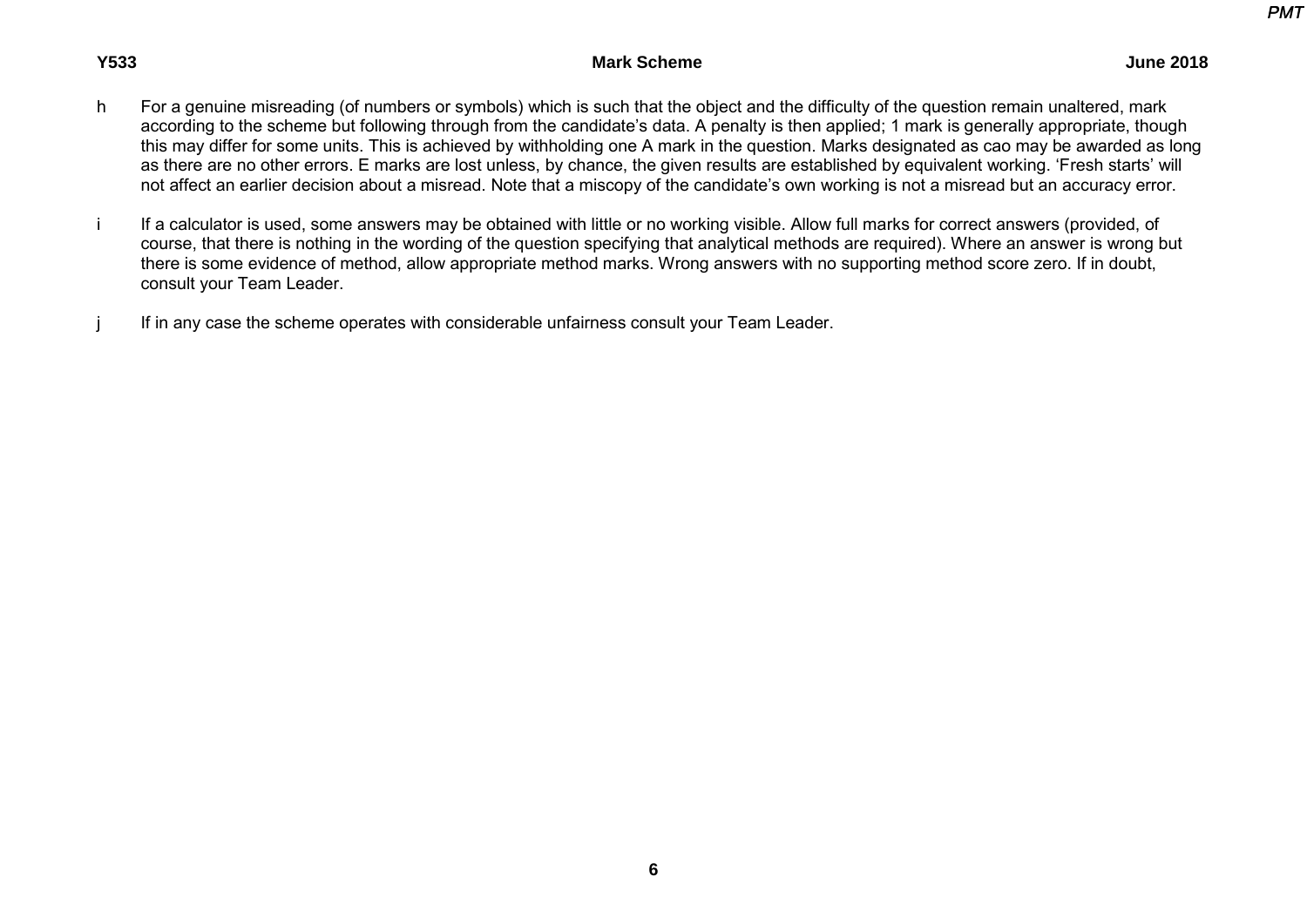- h For a genuine misreading (of numbers or symbols) which is such that the object and the difficulty of the question remain unaltered, mark according to the scheme but following through from the candidate's data. A penalty is then applied; 1 mark is generally appropriate, though this may differ for some units. This is achieved by withholding one A mark in the question. Marks designated as cao may be awarded as long as there are no other errors. E marks are lost unless, by chance, the given results are established by equivalent working. 'Fresh starts' will not affect an earlier decision about a misread. Note that a miscopy of the candidate's own working is not a misread but an accuracy error.
- i If a calculator is used, some answers may be obtained with little or no working visible. Allow full marks for correct answers (provided, of course, that there is nothing in the wording of the question specifying that analytical methods are required). Where an answer is wrong but there is some evidence of method, allow appropriate method marks. Wrong answers with no supporting method score zero. If in doubt, consult your Team Leader.
- i If in any case the scheme operates with considerable unfairness consult your Team Leader.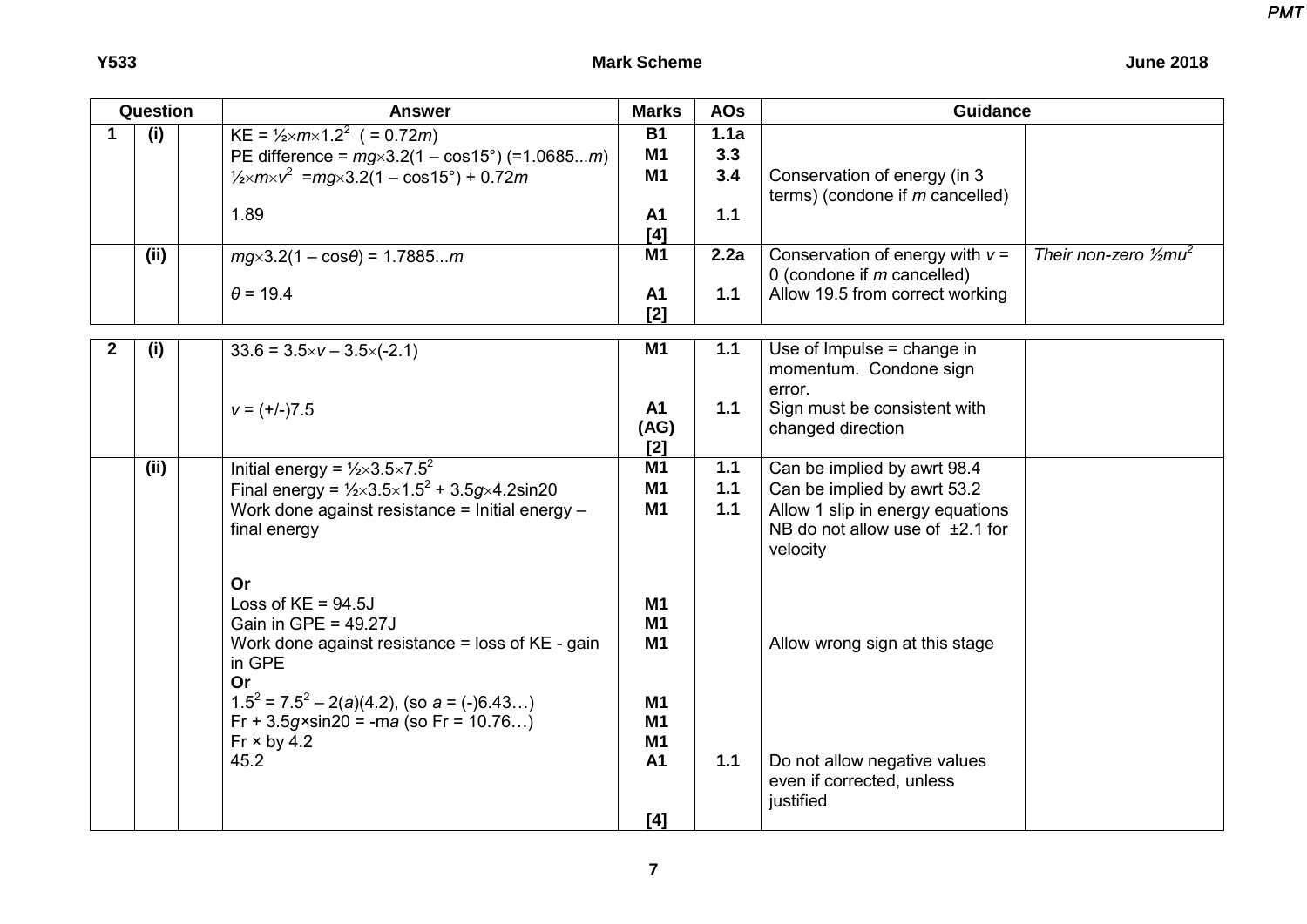|  | <b>June 2018</b> |  |
|--|------------------|--|
|--|------------------|--|

| Question     |      | <b>Answer</b>                                                                                                                                                                                           | <b>Marks</b>                        | <b>AOs</b>         | <b>Guidance</b>                                                                   |                                              |  |
|--------------|------|---------------------------------------------------------------------------------------------------------------------------------------------------------------------------------------------------------|-------------------------------------|--------------------|-----------------------------------------------------------------------------------|----------------------------------------------|--|
| 1            | (i)  | KE = $\frac{1}{2}$ xm × 1.2 <sup>2</sup> ( = 0.72 <i>m</i> )<br>PE difference = $mg \times 3.2(1 - \cos 15^\circ)$ (=1.0685m)<br>$\frac{1}{2} \times m \times v^2$ = mg \times 3.2(1 – cos 15°) + 0.72m | <b>B1</b><br>M1<br>M <sub>1</sub>   | 1.1a<br>3.3<br>3.4 | Conservation of energy (in 3<br>terms) (condone if $m$ cancelled)                 |                                              |  |
|              |      | 1.89                                                                                                                                                                                                    | A <sub>1</sub><br>$[4]$             | $1.1$              |                                                                                   |                                              |  |
|              | (ii) | $mg \times 3.2(1 - \cos\theta) = 1.7885m$                                                                                                                                                               | M <sub>1</sub>                      | 2.2a               | Conservation of energy with $v =$<br>0 (condone if $m$ cancelled)                 | Their non-zero $\frac{1}{2}$ mu <sup>2</sup> |  |
|              |      | $\theta$ = 19.4                                                                                                                                                                                         | A1<br>[2]                           | 1.1                | Allow 19.5 from correct working                                                   |                                              |  |
| $\mathbf{2}$ | (i)  | $33.6 = 3.5 \times v - 3.5 \times (-2.1)$                                                                                                                                                               | <b>M1</b>                           | 1.1                | Use of Impulse $=$ change in<br>momentum. Condone sign<br>error.                  |                                              |  |
|              |      | $v = (+/-)7.5$                                                                                                                                                                                          | A <sub>1</sub><br>(AG)<br>$[2]$     | $1.1$              | Sign must be consistent with<br>changed direction                                 |                                              |  |
|              | (ii) | Initial energy = $\frac{1}{2} \times 3.5 \times 7.5^2$                                                                                                                                                  | M1                                  | $1.1$              | Can be implied by awrt 98.4                                                       |                                              |  |
|              |      | Final energy = $\frac{1}{2} \times 3.5 \times 1.5^2 + 3.5 g \times 4.2 \sin 20$                                                                                                                         | M1                                  | $1.1$              | Can be implied by awrt 53.2                                                       |                                              |  |
|              |      | Work done against resistance = Initial energy -<br>final energy                                                                                                                                         | M1                                  | $1.1$              | Allow 1 slip in energy equations<br>NB do not allow use of $±2.1$ for<br>velocity |                                              |  |
|              |      | Or                                                                                                                                                                                                      |                                     |                    |                                                                                   |                                              |  |
|              |      | Loss of $KE = 94.5J$                                                                                                                                                                                    | <b>M1</b>                           |                    |                                                                                   |                                              |  |
|              |      | Gain in GPE = $49.27J$<br>Work done against resistance = loss of KE - gain<br>in GPE<br>Or                                                                                                              | M1<br>M1                            |                    | Allow wrong sign at this stage                                                    |                                              |  |
|              |      | $1.5^2 = 7.5^2 - 2(a)(4.2)$ , (so $a = (-)6.43$ )<br>Fr + $3.5g \times \sin 20 = -ma$ (so Fr = 10.76)<br>$Fr \times by 4.2$                                                                             | <b>M1</b><br><b>M1</b><br><b>M1</b> |                    |                                                                                   |                                              |  |
|              |      | 45.2                                                                                                                                                                                                    | <b>A1</b>                           | $1.1$              | Do not allow negative values<br>even if corrected, unless<br>justified            |                                              |  |
|              |      |                                                                                                                                                                                                         | [4]                                 |                    |                                                                                   |                                              |  |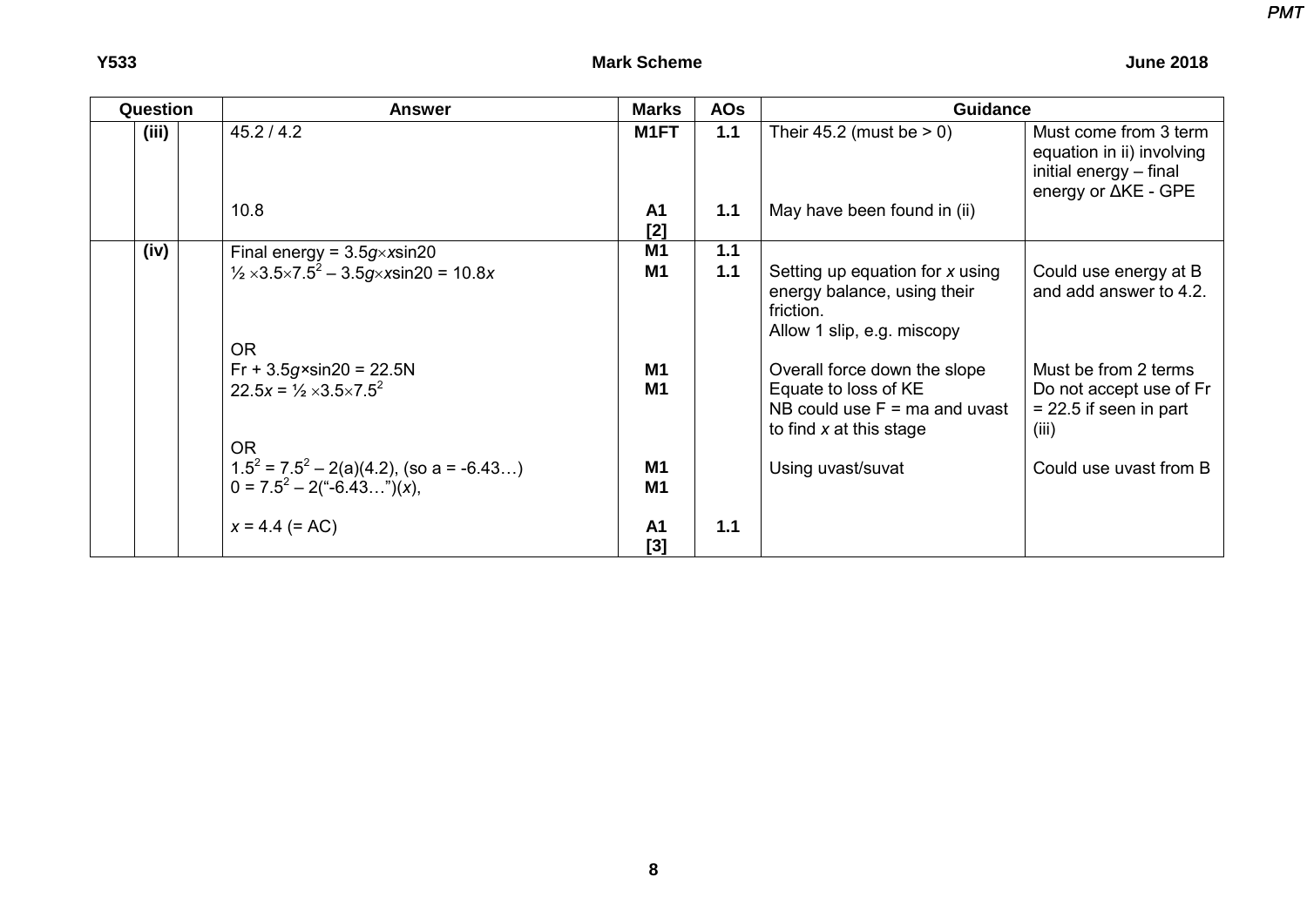| Question | <b>Answer</b>                                                                     | <b>Marks</b>                     | <b>AOs</b> | <b>Guidance</b>                                                                                                      |                                                                                                     |
|----------|-----------------------------------------------------------------------------------|----------------------------------|------------|----------------------------------------------------------------------------------------------------------------------|-----------------------------------------------------------------------------------------------------|
| (iii)    | 45.2 / 4.2                                                                        | M1FT                             | $1.1$      | Their 45.2 (must be $> 0$ )                                                                                          | Must come from 3 term<br>equation in ii) involving<br>initial energy - final<br>energy or ∆KE - GPE |
|          | 10.8                                                                              | A <sub>1</sub><br>$[2]$          | 1.1        | May have been found in (ii)                                                                                          |                                                                                                     |
| (iv)     | Final energy = $3.5g \times x \sin 20$                                            | M <sub>1</sub>                   | 1.1        |                                                                                                                      |                                                                                                     |
|          | $\frac{1}{2} \times 3.5 \times 7.5^2 - 3.5 g \times x \sin 20 = 10.8x$            | M1                               | 1.1        | Setting up equation for x using<br>energy balance, using their<br>friction.<br>Allow 1 slip, e.g. miscopy            | Could use energy at B<br>and add answer to 4.2.                                                     |
|          | OR.                                                                               |                                  |            |                                                                                                                      |                                                                                                     |
|          | $Fr + 3.5g \times sin20 = 22.5N$<br>$22.5x = \frac{1}{2} \times 3.5 \times 7.5^2$ | M <sub>1</sub><br>M1             |            | Overall force down the slope<br>Equate to loss of KE<br>NB could use $F = ma$ and uvast<br>to find $x$ at this stage | Must be from 2 terms<br>Do not accept use of Fr<br>$= 22.5$ if seen in part<br>(iii)                |
|          | OR.                                                                               |                                  |            |                                                                                                                      |                                                                                                     |
|          | $1.5^2 = 7.5^2 - 2(a)(4.2)$ , (so a = -6.43)<br>$0 = 7.5^2 - 2(*-6.43*)(x),$      | M <sub>1</sub><br>M <sub>1</sub> |            | Using uvast/suvat                                                                                                    | Could use uvast from B                                                                              |
|          | $x = 4.4 (= AC)$                                                                  | A <sub>1</sub><br>[3]            | 1.1        |                                                                                                                      |                                                                                                     |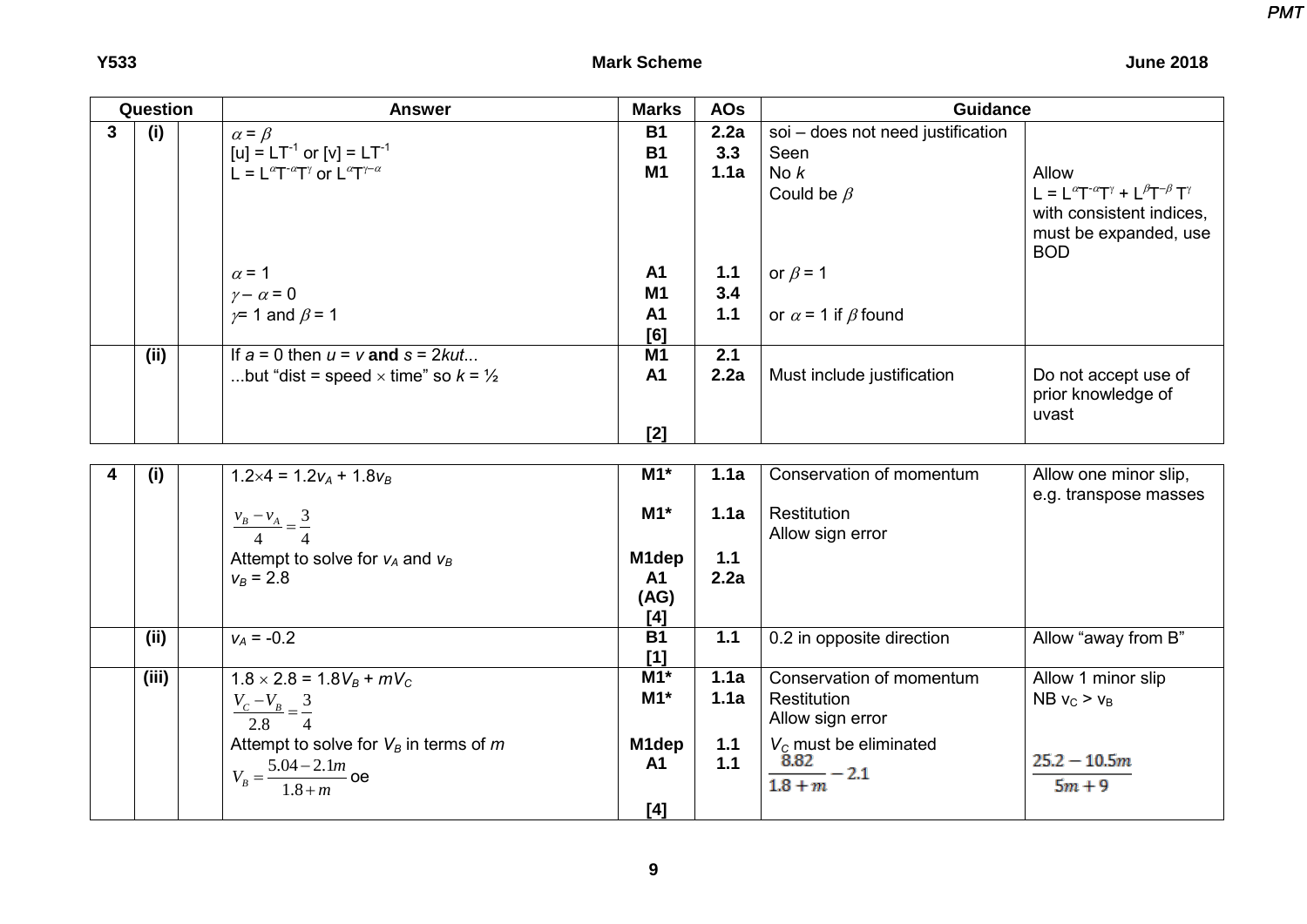|   | Question | <b>Answer</b>                                                                                                                                                        | <b>Marks</b>                                 | <b>AOs</b>                    | <b>Guidance</b>                                                                                                       |                                                                                                                                                                                                                                         |
|---|----------|----------------------------------------------------------------------------------------------------------------------------------------------------------------------|----------------------------------------------|-------------------------------|-----------------------------------------------------------------------------------------------------------------------|-----------------------------------------------------------------------------------------------------------------------------------------------------------------------------------------------------------------------------------------|
| 3 | (i)      | $\alpha = \beta$<br>[u] = $LT^{-1}$ or [v] = $LT^{-1}$<br>L = $L^{\alpha}T^{-\alpha}T^{\gamma}$ or $L^{\alpha}T^{\gamma-\alpha}$                                     | <b>B1</b><br><b>B1</b><br><b>M1</b>          | 2.2a<br>3.3<br>1.1a           | soi - does not need justification<br>Seen<br>No $k$<br>Could be $\beta$                                               | Allow<br>$\mathsf{L} = \mathsf{L}^{\alpha} \mathsf{T}^{\text{-} \alpha} \mathsf{T}^{\gamma} + \mathsf{L}^{\beta} \mathsf{T}^{\text{-} \beta} \, \mathsf{T}^{\gamma}$<br>with consistent indices,<br>must be expanded, use<br><b>BOD</b> |
|   |          | $\alpha$ = 1<br>$\gamma - \alpha = 0$<br>$\gamma$ 1 and $\beta$ = 1                                                                                                  | <b>A1</b><br>M1<br><b>A1</b><br>[6]          | $1.1$<br>3.4<br>$1.1$         | or $\beta$ = 1<br>or $\alpha$ = 1 if $\beta$ found                                                                    |                                                                                                                                                                                                                                         |
|   | (ii)     | If $a = 0$ then $u = v$ and $s = 2kut$<br>but "dist = speed $\times$ time" so $k = \frac{1}{2}$                                                                      | M <sub>1</sub><br><b>A1</b><br>[2]           | 2.1<br>2.2a                   | Must include justification                                                                                            | Do not accept use of<br>prior knowledge of<br>uvast                                                                                                                                                                                     |
| 4 | (i)      | $1.2\times4 = 1.2v_A + 1.8v_B$<br>$\frac{v_B - v_A}{4} = \frac{3}{4}$<br>Attempt to solve for $v_A$ and $v_B$<br>$v_B = 2.8$                                         | $M1*$<br>$M1*$<br>M1dep<br><b>A1</b><br>(AG) | 1.1a<br>1.1a<br>$1.1$<br>2.2a | Conservation of momentum<br>Restitution<br>Allow sign error                                                           | Allow one minor slip,<br>e.g. transpose masses                                                                                                                                                                                          |
|   | (ii)     | $v_A = -0.2$                                                                                                                                                         | $[4]$<br><b>B1</b><br>[1]                    | 1.1                           | 0.2 in opposite direction                                                                                             | Allow "away from B"                                                                                                                                                                                                                     |
|   | (iii)    | $1.8 \times 2.8 = 1.8V_B + mV_C$<br>$\frac{V_c-V_B}{V} = \frac{3}{2}$<br>2.8<br>Attempt to solve for $V_B$ in terms of $m$<br>$V_B = \frac{5.04 - 2.1m}{1.8 + m}$ oe | $M1*$<br>$M1*$<br>M1dep<br><b>A1</b><br>[4]  | 1.1a<br>1.1a<br>1.1<br>$1.1$  | Conservation of momentum<br>Restitution<br>Allow sign error<br>$V_c$ must be eliminated<br>$\frac{8.82}{1.8+m} - 2.1$ | Allow 1 minor slip<br>NB $v_C > v_B$<br>$25.2 - 10.5m$<br>$5m + 9$                                                                                                                                                                      |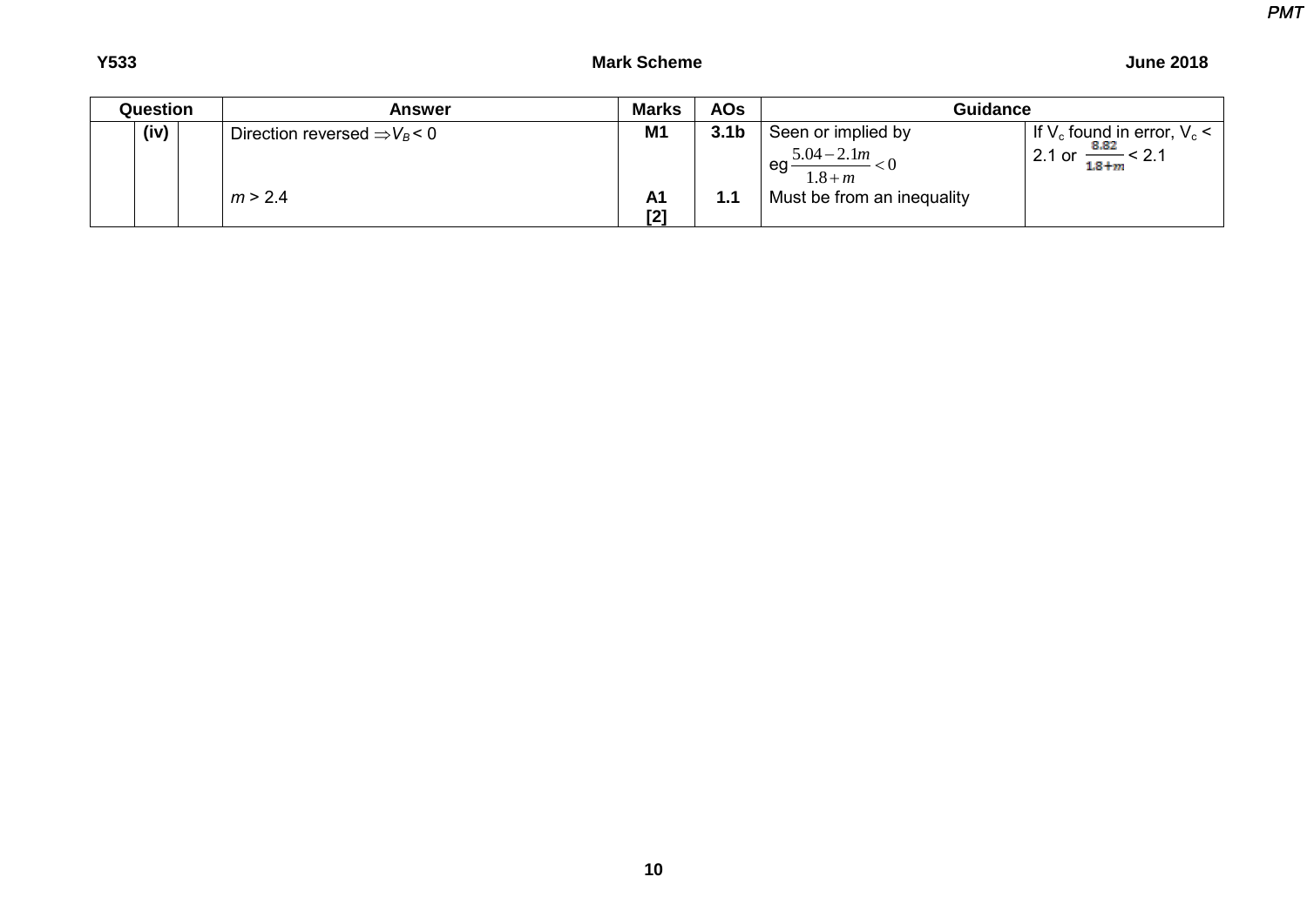| Question | <b>Answer</b>                              | <b>Marks</b>          | <b>AOs</b>       | <b>Guidance</b>                  |                                                 |
|----------|--------------------------------------------|-----------------------|------------------|----------------------------------|-------------------------------------------------|
| (iv)     | Direction reversed $\Rightarrow$ $V_B$ < 0 | M <sub>1</sub>        | 3.1 <sub>b</sub> | Seen or implied by               | If $V_c$ found in error, $V_c$ <                |
|          |                                            |                       |                  | $5.04 - 2.1m$<br>eg<br>$1.8 + m$ | $\frac{8.82}{ } < 2.1$<br>$2.1$ or<br>$1.8 + m$ |
|          | m > 2.4                                    | A <sub>1</sub><br>[2] | 1.1              | Must be from an inequality       |                                                 |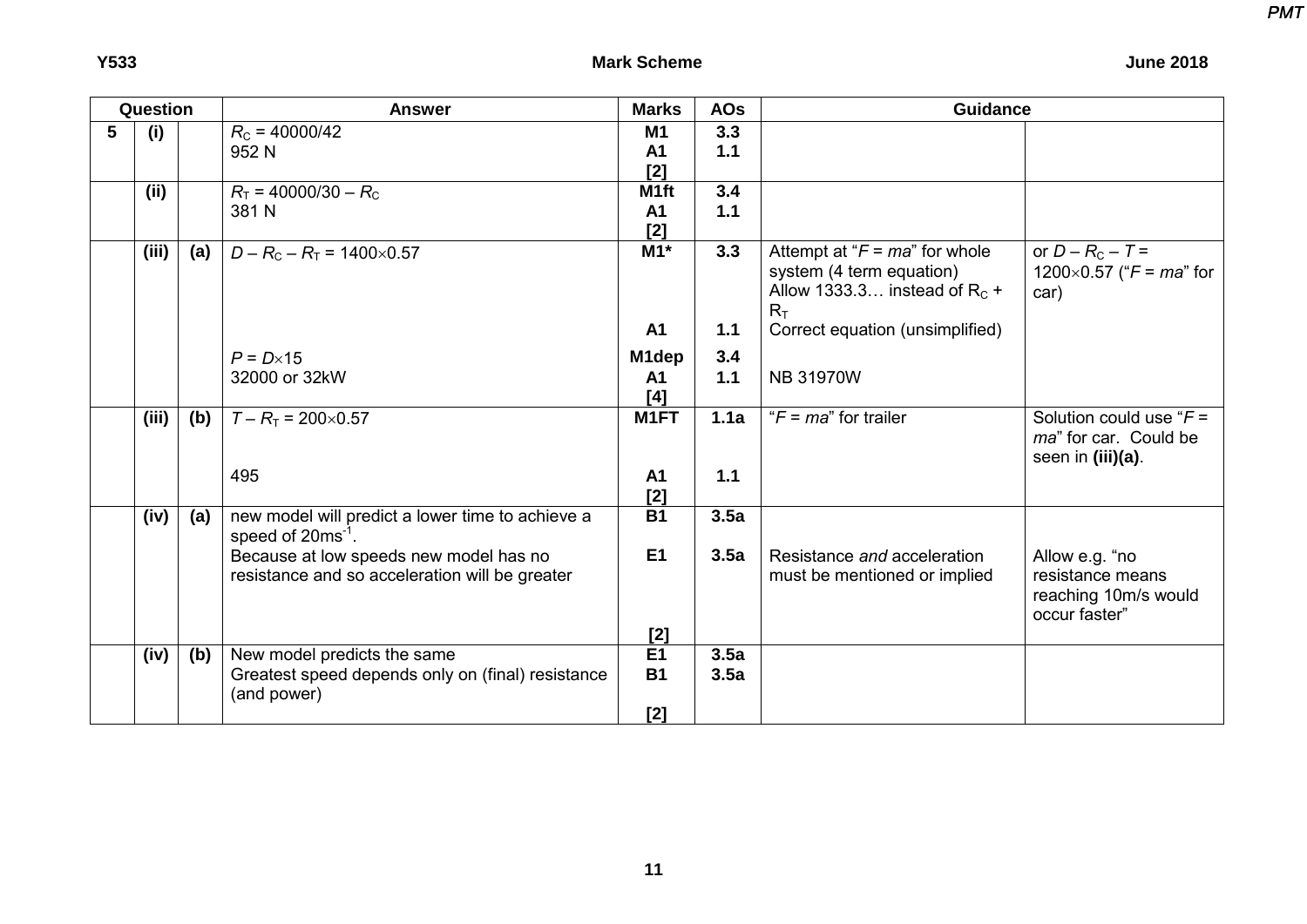| <b>June 2018</b> |  |
|------------------|--|
|------------------|--|

| Question |       |     | <b>Answer</b>                                                                                   | <b>Marks</b>               | <b>AOs</b>   | <b>Guidance</b>                                                                                           |                                                                             |  |
|----------|-------|-----|-------------------------------------------------------------------------------------------------|----------------------------|--------------|-----------------------------------------------------------------------------------------------------------|-----------------------------------------------------------------------------|--|
| 5        | (i)   |     | $R_c = 40000/42$<br>952 N                                                                       | <b>M1</b><br>A1<br>$[2]$   | 3.3<br>$1.1$ |                                                                                                           |                                                                             |  |
|          | (ii)  |     | $R_T$ = 40000/30 – $R_C$<br>381 N                                                               | M1ft<br><b>A1</b><br>$[2]$ | 3.4<br>1.1   |                                                                                                           |                                                                             |  |
|          | (iii) | (a) | $D - R_C - R_T = 1400 \times 0.57$                                                              | $M1*$                      | 3.3          | Attempt at " $F = ma$ " for whole<br>system (4 term equation)<br>Allow 1333.3 instead of $R_c$ +<br>$R_T$ | or $D - R_C - T =$<br>1200×0.57 (" $F = ma$ " for<br>car)                   |  |
|          |       |     |                                                                                                 | <b>A1</b>                  | 1.1          | Correct equation (unsimplified)                                                                           |                                                                             |  |
|          |       |     | $P = D \times 15$                                                                               | M1dep                      | 3.4          |                                                                                                           |                                                                             |  |
|          |       |     | 32000 or 32kW                                                                                   | <b>A1</b><br>[4]           | 1.1          | <b>NB 31970W</b>                                                                                          |                                                                             |  |
|          | (iii) | (b) | $T - R_T = 200 \times 0.57$                                                                     | M1FT                       | 1.1a         | " $F = ma$ " for trailer"                                                                                 | Solution could use " $F =$<br>ma" for car. Could be<br>seen in (iii)(a).    |  |
|          |       |     | 495                                                                                             | A1<br>$[2]$                | 1.1          |                                                                                                           |                                                                             |  |
|          | (iv)  | (a) | new model will predict a lower time to achieve a<br>speed of $20ms^{-1}$ .                      | $\overline{B1}$            | 3.5a         |                                                                                                           |                                                                             |  |
|          |       |     | Because at low speeds new model has no<br>resistance and so acceleration will be greater        | E1<br>$[2]$                | 3.5a         | Resistance and acceleration<br>must be mentioned or implied                                               | Allow e.g. "no<br>resistance means<br>reaching 10m/s would<br>occur faster" |  |
|          | (iv)  | (b) | New model predicts the same<br>Greatest speed depends only on (final) resistance<br>(and power) | E1<br><b>B1</b><br>[2]     | 3.5a<br>3.5a |                                                                                                           |                                                                             |  |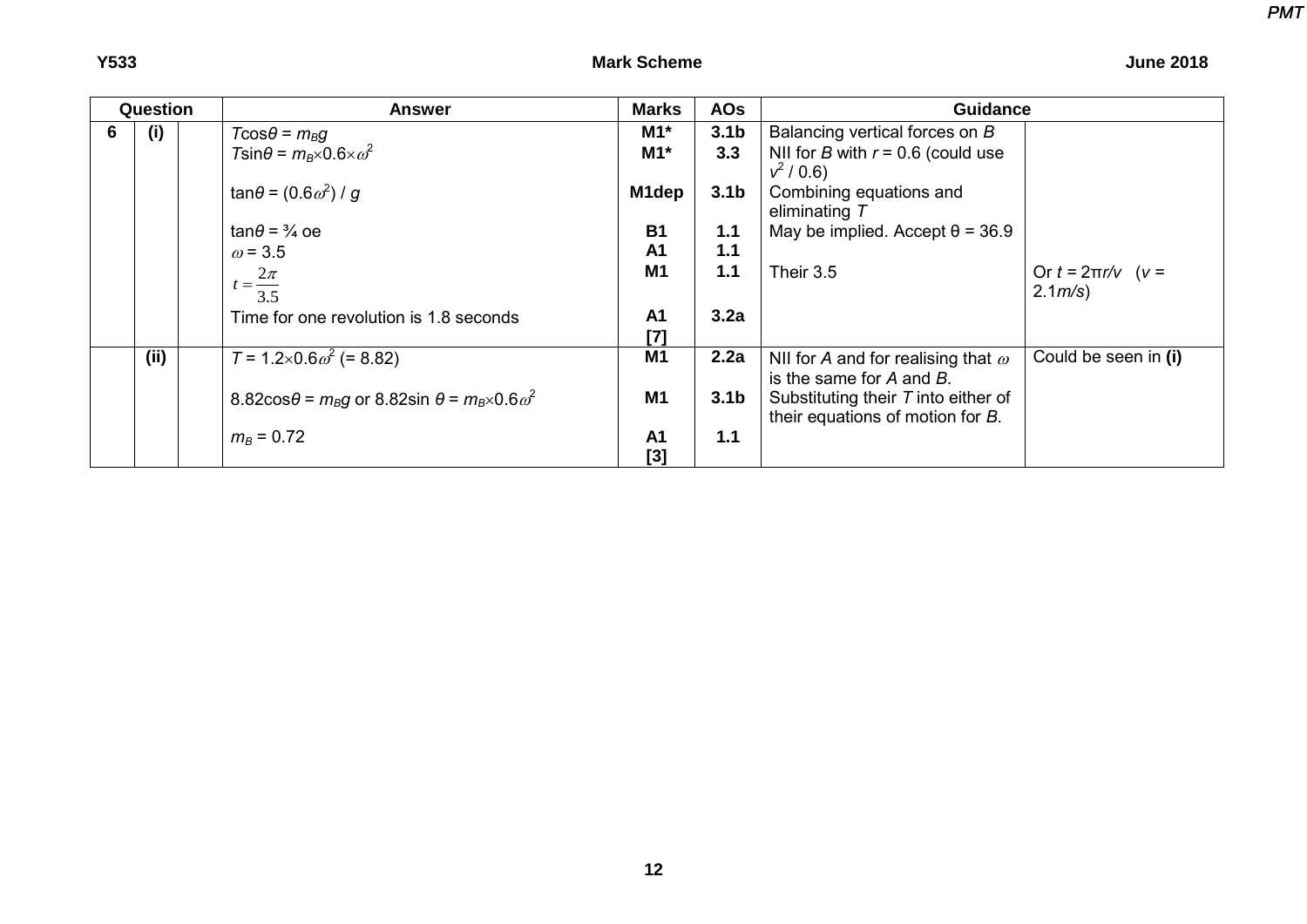| v<br>×<br>۰.<br>۰.<br>۰.<br>v |
|-------------------------------|
|-------------------------------|

| <b>June 2018</b> |
|------------------|
|                  |

| Question |     | <b>Answer</b>                                                                         | <b>Marks</b>          | <b>AOs</b>       | <b>Guidance</b>                                                            |                                     |  |
|----------|-----|---------------------------------------------------------------------------------------|-----------------------|------------------|----------------------------------------------------------------------------|-------------------------------------|--|
| 6        | (i) | $T\cos\theta = m_B g$                                                                 | $M1*$                 | 3.1 <sub>b</sub> | Balancing vertical forces on B                                             |                                     |  |
|          |     | $T\sin\theta = m_B \times 0.6 \times \omega^2$                                        | $M1*$                 | 3.3              | NII for B with $r = 0.6$ (could use<br>$v^2/0.6$                           |                                     |  |
|          |     | tan $\theta$ = (0.6 $\omega^2$ ) / g                                                  | M1dep                 | 3.1 <sub>b</sub> | Combining equations and<br>eliminating $T$                                 |                                     |  |
|          |     | $tan\theta = \frac{3}{4}$ oe                                                          | <b>B1</b>             | 1.1              | May be implied. Accept $\theta$ = 36.9                                     |                                     |  |
|          |     | $\omega$ = 3.5                                                                        | A <sub>1</sub>        | 1.1              |                                                                            |                                     |  |
|          |     | $t = \frac{2\pi}{3.5}$                                                                | M1                    | 1.1              | Their 3.5                                                                  | Or $t = 2π$ r/v (v =<br>$2.1 m/s$ ) |  |
|          |     | Time for one revolution is 1.8 seconds                                                | A <sub>1</sub><br>[7] | 3.2a             |                                                                            |                                     |  |
|          | (i) | $T = 1.2 \times 0.6 \omega^2$ (= 8.82)                                                | M1                    | 2.2a             | NII for A and for realising that $\omega$<br>is the same for $A$ and $B$ . | Could be seen in (i)                |  |
|          |     | 8.82cos $\theta$ = $m_{\beta}g$ or 8.82sin $\theta$ = $m_{\beta} \times 0.6 \omega^2$ | <b>M1</b>             | 3.1 <sub>b</sub> | Substituting their $T$ into either of<br>their equations of motion for B.  |                                     |  |
|          |     | $m_B = 0.72$                                                                          | A <sub>1</sub><br>[3] | 1.1              |                                                                            |                                     |  |